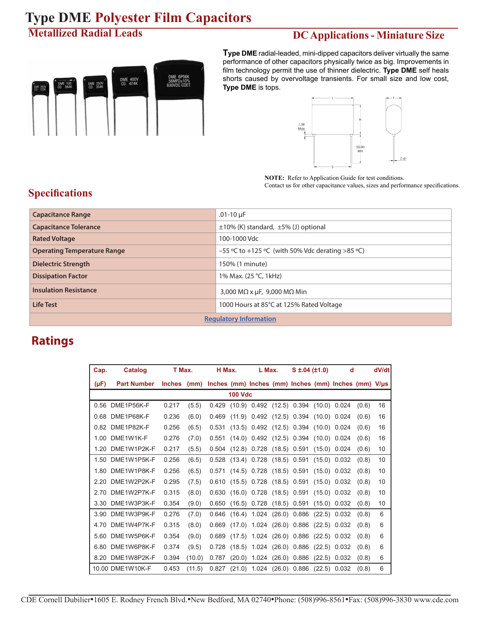#### **Metallized Radial Leads**

# DME 6P56K<br>56MFD±10%<br>630VDC CDET DME 400V<br>CD 474K DME 250V<br>CD 334K

**DC Applications - Miniature Size**

**Type DME** radial-leaded, mini-dipped capacitors deliver virtually the same performance of other capacitors physically twice as big. Improvements in film technology permit the use of thinner dielectric. **Type DME** self heals shorts caused by overvoltage transients. For small size and low cost, **Type DME** is tops.



**NOTE:** Refer to Application Guide for test conditions. Contact us for other capacitance values, sizes and performance specifications.

#### **Specifications**

| <b>Capacitance Range</b>           | $.01 - 10 \mu F$                                   |  |  |  |  |  |  |
|------------------------------------|----------------------------------------------------|--|--|--|--|--|--|
| <b>Capacitance Tolerance</b>       | $\pm 10\%$ (K) standard, $\pm 5\%$ (J) optional    |  |  |  |  |  |  |
| <b>Rated Voltage</b>               | 100-1000 Vdc                                       |  |  |  |  |  |  |
| <b>Operating Temperature Range</b> | $-55$ °C to +125 °C (with 50% Vdc derating >85 °C) |  |  |  |  |  |  |
| <b>Dielectric Strength</b>         | 150% (1 minute)                                    |  |  |  |  |  |  |
| <b>Dissipation Factor</b>          | 1% Max. (25 °C, 1kHz)                              |  |  |  |  |  |  |
| <b>Insulation Resistance</b>       | 3,000 M $\Omega$ x µF, 9,000 M $\Omega$ Min        |  |  |  |  |  |  |
| <b>Life Test</b>                   | 1000 Hours at 85°C at 125% Rated Voltage           |  |  |  |  |  |  |
| <b>Regulatory Information</b>      |                                                    |  |  |  |  |  |  |

#### **Ratings**

| Cap.      | Catalog            | T Max.        |        | H Max. |        | L Max.                        |        | $S \pm 0.04$ ( $\pm 1.0$ )          |        | d                                                         | dV/dt |    |
|-----------|--------------------|---------------|--------|--------|--------|-------------------------------|--------|-------------------------------------|--------|-----------------------------------------------------------|-------|----|
| $(\mu F)$ | <b>Part Number</b> | <b>Inches</b> | (mm)   |        |        |                               |        |                                     |        | Inches (mm) Inches (mm) Inches (mm) Inches (mm) $V/\mu s$ |       |    |
|           | <b>100 Vdc</b>     |               |        |        |        |                               |        |                                     |        |                                                           |       |    |
| 0.56      | DME1P56K-F         | 0.217         | (5.5)  | 0.429  | (10.9) |                               |        | $0.492$ (12.5) $0.394$ (10.0) 0.024 |        |                                                           | (0.6) | 16 |
| 0.68      | DME1P68K-F         | 0.236         | (6.0)  | 0.469  | (11.9) |                               |        | $0.492$ (12.5) 0.394                | (10.0) | 0.024                                                     | (0.6) | 16 |
| 0.82      | DME1P82K-F         | 0.256         | (6.5)  | 0.531  | (13.5) |                               |        | 0.492 (12.5) 0.394                  |        | (10.0) 0.024                                              | (0.6) | 16 |
| 1.00      | DME1W1K-F          | 0.276         | (7.0)  | 0.551  | (14.0) |                               |        | 0.492 (12.5) 0.394 (10.0) 0.024     |        |                                                           | (0.6) | 16 |
| 1 20      | DMF1W1P2K-F        | 0.217         | (5.5)  | 0.504  | (12.8) | 0.728                         |        | $(18.5)$ 0.591                      |        | $(15.0)$ 0.024                                            | (0.6) | 10 |
|           | 1.50 DME1W1P5K-F   | 0.256         | (6.5)  | 0.528  | (13.4) |                               |        | $0.728$ (18.5) 0.591                |        | $(15.0)$ 0.032                                            | (0.8) | 10 |
| 1.80      | DME1W1P8K-F        | 0.256         | (6.5)  | 0.571  | (14.5) |                               |        | $0.728$ (18.5) 0.591                |        | $(15.0)$ 0.032                                            | (0.8) | 10 |
| 2.20      | DME1W2P2K-F        | 0.295         | (7.5)  | 0.610  | (15.5) | 0.728                         |        | $(18.5)$ 0.591                      |        | $(15.0)$ 0.032                                            | (0.8) | 10 |
| 2.70      | DME1W2P7K-F        | 0.315         | (8.0)  | 0.630  | (16.0) |                               |        | $0.728$ (18.5) 0.591                |        | (15.0) 0.032                                              | (0.8) | 10 |
| 3.30      | DME1W3P3K-F        | 0.354         | (9.0)  | 0.650  | (16.5) |                               |        | $0.728$ (18.5) 0.591                |        | $(15.0)$ 0.032                                            | (0.8) | 10 |
| 3.90      | DME1W3P9K-F        | 0.276         | (7.0)  | 0.646  |        | $(16.4)$ 1.024 $(26.0)$ 0.886 |        |                                     |        | $(22.5)$ 0.032                                            | (0.8) | 6  |
| 4.70      | DME1W4P7K-F        | 0.315         | (8.0)  | 0.669  | (17.0) | 1.024                         |        | $(26.0)$ 0.886                      |        | $(22.5)$ 0.032                                            | (0.8) | 6  |
| 5.60      | DME1W5P6K-F        | 0.354         | (9.0)  | 0.689  | (17.5) | 1.024                         |        | $(26.0)$ 0.886                      |        | $(22.5)$ 0.032                                            | (0.8) | 6  |
| 6.80      | DME1W6P8K-F        | 0.374         | (9.5)  | 0.728  | (18.5) | 1.024                         |        | $(26.0)$ 0.886                      | (22.5) | 0.032                                                     | (0.8) | 6  |
| 8.20      | DME1W8P2K-F        | 0.394         | (10.0) | 0.787  | (20.0) | 1.024                         | (26.0) | 0.886                               | (22.5) | 0.032                                                     | (0.8) | 6  |
|           | 10.00 DME1W10K-F   | 0.453         | (11.5) | 0.827  | (21.0) | 1.024                         |        | $(26.0)$ 0.886                      | (22.5) | 0.032                                                     | (0.8) | 6  |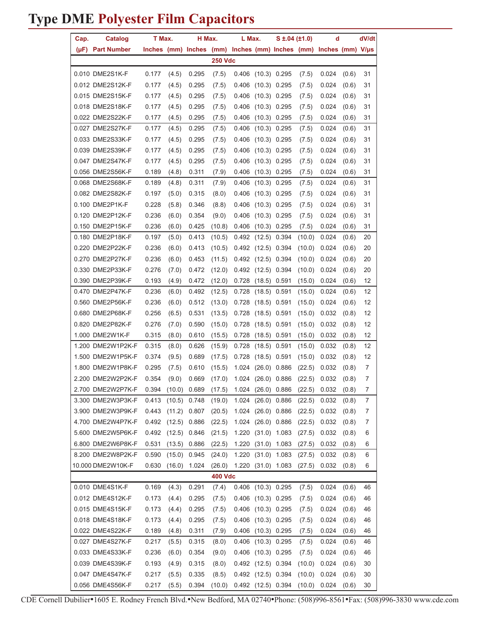| Cap. | Catalog                                                                     | T Max. |        | H Max. |                | L Max. | $S \pm 0.04 (\pm 1.0)$ |        | d                                                                |       | dV/dt          |
|------|-----------------------------------------------------------------------------|--------|--------|--------|----------------|--------|------------------------|--------|------------------------------------------------------------------|-------|----------------|
|      | (µF) Part Number                                                            |        |        |        |                |        |                        |        | Inches (mm) Inches (mm) Inches (mm) Inches (mm) Inches (mm) V/µs |       |                |
|      |                                                                             |        |        |        | <b>250 Vdc</b> |        |                        |        |                                                                  |       |                |
|      | 0.010 DME2S1K-F                                                             | 0.177  | (4.5)  | 0.295  | (7.5)          |        | 0.406 (10.3) 0.295     | (7.5)  | 0.024                                                            | (0.6) | 31             |
|      | 0.012 DME2S12K-F                                                            | 0.177  | (4.5)  | 0.295  | (7.5)          |        | 0.406 (10.3) 0.295     | (7.5)  | 0.024                                                            | (0.6) | 31             |
|      | 0.015 DME2S15K-F                                                            | 0.177  | (4.5)  | 0.295  | (7.5)          |        | 0.406 (10.3) 0.295     | (7.5)  | 0.024                                                            | (0.6) | 31             |
|      | 0.018 DME2S18K-F                                                            | 0.177  | (4.5)  | 0.295  | (7.5)          |        | $0.406$ (10.3) 0.295   | (7.5)  | 0.024                                                            | (0.6) | 31             |
|      | 0.022 DME2S22K-F                                                            | 0.177  | (4.5)  | 0.295  | (7.5)          |        | $0.406$ (10.3) 0.295   | (7.5)  | 0.024                                                            | (0.6) | 31             |
|      | 0.027 DME2S27K-F                                                            | 0.177  | (4.5)  | 0.295  | (7.5)          |        | 0.406 (10.3) 0.295     | (7.5)  | 0.024                                                            | (0.6) | 31             |
|      | 0.033 DME2S33K-F                                                            | 0.177  | (4.5)  | 0.295  | (7.5)          |        | 0.406 (10.3) 0.295     | (7.5)  | 0.024                                                            | (0.6) | 31             |
|      | 0.039 DME2S39K-F                                                            | 0.177  | (4.5)  | 0.295  | (7.5)          |        | 0.406 (10.3) 0.295     | (7.5)  | 0.024                                                            | (0.6) | 31             |
|      | 0.047 DME2S47K-F                                                            | 0.177  | (4.5)  | 0.295  | (7.5)          |        | $0.406$ (10.3) 0.295   | (7.5)  | 0.024                                                            | (0.6) | 31             |
|      | 0.056 DME2S56K-F                                                            | 0.189  | (4.8)  | 0.311  | (7.9)          | 0.406  | $(10.3)$ 0.295         | (7.5)  | 0.024                                                            | (0.6) | 31             |
|      | 0.068 DME2S68K-F                                                            | 0.189  | (4.8)  | 0.311  | (7.9)          | 0.406  | $(10.3)$ 0.295         | (7.5)  | 0.024                                                            | (0.6) | 31             |
|      | 0.082 DME2S82K-F                                                            | 0.197  | (5.0)  | 0.315  | (8.0)          |        | $0.406$ (10.3) 0.295   | (7.5)  | 0.024                                                            | (0.6) | 31             |
|      | 0.100 DME2P1K-F                                                             | 0.228  | (5.8)  | 0.346  | (8.8)          |        | 0.406 (10.3) 0.295     | (7.5)  | 0.024                                                            | (0.6) | 31             |
|      | 0.120 DME2P12K-F                                                            | 0.236  | (6.0)  | 0.354  | (9.0)          |        | 0.406 (10.3) 0.295     | (7.5)  | 0.024                                                            | (0.6) | 31             |
|      | 0.150 DME2P15K-F                                                            | 0.236  | (6.0)  | 0.425  | (10.8)         |        | 0.406 (10.3) 0.295     | (7.5)  | 0.024                                                            | (0.6) | 31             |
|      | 0.180 DME2P18K-F                                                            | 0.197  | (5.0)  | 0.413  | (10.5)         |        | $0.492$ (12.5) 0.394   | (10.0) | 0.024                                                            | (0.6) | 20             |
|      | 0.220 DME2P22K-F                                                            | 0.236  | (6.0)  | 0.413  | (10.5)         |        | 0.492 (12.5) 0.394     | (10.0) | 0.024                                                            | (0.6) | 20             |
|      | 0.270 DME2P27K-F                                                            | 0.236  | (6.0)  | 0.453  | (11.5)         |        | $0.492$ (12.5) 0.394   | (10.0) | 0.024                                                            | (0.6) | 20             |
|      | 0.330 DME2P33K-F                                                            | 0.276  | (7.0)  | 0.472  | (12.0)         |        | 0.492 (12.5) 0.394     | (10.0) | 0.024                                                            | (0.6) | 20             |
|      | 0.390 DME2P39K-F                                                            | 0.193  | (4.9)  | 0.472  | (12.0)         |        | 0.728 (18.5) 0.591     | (15.0) | 0.024                                                            | (0.6) | 12             |
|      | 0.470 DME2P47K-F                                                            | 0.236  | (6.0)  | 0.492  | (12.5)         |        | $0.728$ (18.5) 0.591   | (15.0) | 0.024                                                            | (0.6) | 12             |
|      | 0.560 DME2P56K-F                                                            | 0.236  | (6.0)  | 0.512  | (13.0)         |        | 0.728 (18.5) 0.591     | (15.0) | 0.024                                                            | (0.6) | 12             |
|      | 0.680 DME2P68K-F                                                            | 0.256  | (6.5)  | 0.531  | (13.5)         |        | $0.728$ (18.5) 0.591   | (15.0) | 0.032                                                            | (0.8) | 12             |
|      | 0.820 DME2P82K-F                                                            | 0.276  | (7.0)  | 0.590  | (15.0)         |        | $0.728$ (18.5) 0.591   | (15.0) | 0.032                                                            | (0.8) | 12             |
|      | 1.000 DME2W1K-F                                                             | 0.315  | (8.0)  | 0.610  | (15.5)         |        | $0.728$ (18.5) 0.591   | (15.0) | 0.032                                                            | (0.8) | 12             |
|      | 1.200 DME2W1P2K-F                                                           | 0.315  | (8.0)  | 0.626  | (15.9)         |        | 0.728 (18.5) 0.591     | (15.0) | 0.032                                                            | (0.8) | 12             |
|      | 1.500 DME2W1P5K-F                                                           | 0.374  | (9.5)  | 0.689  | (17.5)         |        | 0.728 (18.5) 0.591     | (15.0) | 0.032                                                            | (0.8) | 12             |
|      | 1.800 DME2W1P8K-F                                                           | 0.295  | (7.5)  | 0.610  | (15.5)         |        | 1.024 (26.0) 0.886     | (22.5) | 0.032                                                            | (0.8) | 7              |
|      | 2.200 DME2W2P2K-F                                                           | 0.354  | (9.0)  | 0.669  | (17.0)         |        | 1.024 (26.0) 0.886     |        | $(22.5)$ 0.032                                                   | (0.8) | 7              |
|      | 2.700 DME2W2P7K-F 0.394 (10.0) 0.689 (17.5) 1.024 (26.0) 0.886 (22.5) 0.032 |        |        |        |                |        |                        |        |                                                                  | (0.8) | $\overline{7}$ |
|      | 3.300 DME2W3P3K-F                                                           | 0.413  | (10.5) | 0.748  | (19.0)         | 1.024  | $(26.0)$ 0.886         | (22.5) | 0.032                                                            | (0.8) | 7              |
|      | 3.900 DME2W3P9K-F                                                           | 0.443  | (11.2) | 0.807  | (20.5)         |        | 1.024 (26.0) 0.886     | (22.5) | 0.032                                                            | (0.8) | 7              |
|      | 4.700 DME2W4P7K-F                                                           | 0.492  | (12.5) | 0.886  | (22.5)         |        | 1.024 (26.0) 0.886     | (22.5) | 0.032                                                            | (0.8) | 7              |
|      | 5.600 DME2W5P6K-F                                                           | 0.492  | (12.5) | 0.846  | (21.5)         |        | 1.220 (31.0) 1.083     | (27.5) | 0.032                                                            | (0.8) | 6              |
|      | 6.800 DME2W6P8K-F                                                           | 0.531  | (13.5) | 0.886  | (22.5)         |        | 1.220 (31.0) 1.083     | (27.5) | 0.032                                                            | (0.8) | 6              |
|      | 8.200 DME2W8P2K-F                                                           | 0.590  | (15.0) | 0.945  | (24.0)         |        | 1.220 (31.0) 1.083     | (27.5) | 0.032                                                            | (0.8) | 6              |
|      | 10.000 DME2W10K-F                                                           | 0.630  | (16.0) | 1.024  | (26.0)         |        | 1.220 (31.0) 1.083     | (27.5) | 0.032                                                            | (0.8) | 6              |
|      |                                                                             |        |        |        | <b>400 Vdc</b> |        |                        |        |                                                                  |       |                |
|      | 0.010 DME4S1K-F                                                             | 0.169  | (4.3)  | 0.291  | (7.4)          |        | 0.406 (10.3) 0.295     | (7.5)  | 0.024                                                            | (0.6) | 46             |
|      | 0.012 DME4S12K-F                                                            | 0.173  | (4.4)  | 0.295  | (7.5)          |        | 0.406 (10.3) 0.295     | (7.5)  | 0.024                                                            | (0.6) | 46             |
|      | 0.015 DME4S15K-F                                                            | 0.173  | (4.4)  | 0.295  | (7.5)          |        | 0.406 (10.3) 0.295     | (7.5)  | 0.024                                                            | (0.6) | 46             |
|      | 0.018 DME4S18K-F                                                            | 0.173  | (4.4)  | 0.295  | (7.5)          |        | 0.406 (10.3) 0.295     | (7.5)  | 0.024                                                            | (0.6) | 46             |
|      | 0.022 DME4S22K-F                                                            | 0.189  | (4.8)  | 0.311  | (7.9)          |        | 0.406 (10.3) 0.295     | (7.5)  | 0.024                                                            | (0.6) | 46             |
|      | 0.027 DME4S27K-F                                                            | 0.217  | (5.5)  | 0.315  | (8.0)          |        | 0.406 (10.3) 0.295     | (7.5)  | 0.024                                                            | (0.6) | 46             |
|      | 0.033 DME4S33K-F                                                            | 0.236  | (6.0)  | 0.354  | (9.0)          |        | 0.406 (10.3) 0.295     | (7.5)  | 0.024                                                            | (0.6) | 46             |
|      | 0.039 DME4S39K-F                                                            | 0.193  | (4.9)  | 0.315  | (8.0)          |        | $0.492$ (12.5) 0.394   | (10.0) | 0.024                                                            | (0.6) | 30             |
|      | 0.047 DME4S47K-F                                                            | 0.217  | (5.5)  | 0.335  | (8.5)          |        | 0.492 (12.5) 0.394     | (10.0) | 0.024                                                            | (0.6) | 30             |
|      | 0.056 DME4S56K-F                                                            | 0.217  | (5.5)  | 0.394  | (10.0)         |        | 0.492 (12.5) 0.394     | (10.0) | 0.024                                                            | (0.6) | 30             |

CDE Cornell Dubilier•1605 E. Rodney French Blvd.•New Bedford, MA 02740•Phone: (508)996-8561•Fax: (508)996-3830 www.cde.com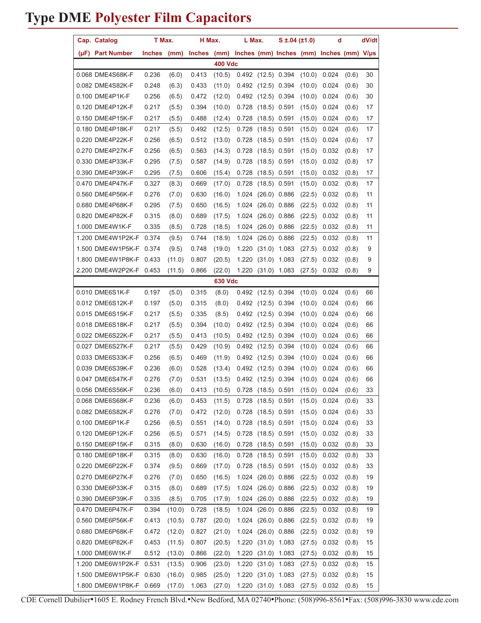|                | Cap. Catalog            | T Max. |        | H Max.                                                             |                | L Max.                                       |                      | $S \pm 0.04$ (±1.0) |        | d     |       | dV/dt |
|----------------|-------------------------|--------|--------|--------------------------------------------------------------------|----------------|----------------------------------------------|----------------------|---------------------|--------|-------|-------|-------|
|                | (µF) Part Number        | Inches | (mm)   | Inches $(mm)$ Inches $(mm)$ Inches $(mm)$ Inches $(mm)$ V/ $\mu$ s |                |                                              |                      |                     |        |       |       |       |
|                |                         |        |        |                                                                    | <b>400 Vdc</b> |                                              |                      |                     |        |       |       |       |
|                | 0.068 DME4S68K-F        | 0.236  | (6.0)  | 0.413                                                              | (10.5)         |                                              | $0.492$ (12.5) 0.394 |                     | (10.0) | 0.024 | (0.6) | 30    |
|                | 0.082 DME4S82K-F        | 0.248  | (6.3)  | 0.433                                                              | (11.0)         |                                              | $0.492$ (12.5) 0.394 |                     | (10.0) | 0.024 | (0.6) | 30    |
|                | 0.100 DME4P1K-F         | 0.256  | (6.5)  | 0.472                                                              | (12.0)         |                                              | $0.492$ (12.5) 0.394 |                     | (10.0) | 0.024 | (0.6) | 30    |
|                | 0.120 DME4P12K-F        | 0.217  | (5.5)  | 0.394                                                              | (10.0)         | 0.728                                        |                      | $(18.5)$ 0.591      | (15.0) | 0.024 | (0.6) | 17    |
|                | 0.150 DME4P15K-F        | 0.217  | (5.5)  | 0.488                                                              | (12.4)         | 0.728                                        |                      | $(18.5)$ 0.591      | (15.0) | 0.024 | (0.6) | 17    |
|                | 0.180 DME4P18K-F        | 0.217  | (5.5)  | 0.492                                                              | (12.5)         | 0.728                                        |                      | $(18.5)$ 0.591      | (15.0) | 0.024 | (0.6) | 17    |
|                | 0.220 DME4P22K-F        | 0.256  | (6.5)  | 0.512                                                              | (13.0)         | 0.728                                        |                      | $(18.5)$ 0.591      | (15.0) | 0.024 | (0.6) | 17    |
|                | 0.270 DME4P27K-F        | 0.256  | (6.5)  | 0.563                                                              | (14.3)         | 0.728                                        |                      | $(18.5)$ 0.591      | (15.0) | 0.032 | (0.8) | 17    |
|                | 0.330 DME4P33K-F        | 0.295  | (7.5)  | 0.587                                                              | (14.9)         | 0.728                                        |                      | $(18.5)$ 0.591      | (15.0) | 0.032 | (0.8) | 17    |
|                | 0.390 DME4P39K-F        | 0.295  | (7.5)  | 0.606                                                              | (15.4)         | 0.728                                        |                      | $(18.5)$ 0.591      | (15.0) | 0.032 | (0.8) | 17    |
|                | 0.470 DME4P47K-F        | 0.327  | (8.3)  | 0.669                                                              | (17.0)         | 0.728                                        |                      | $(18.5)$ 0.591      | (15.0) | 0.032 | (0.8) | 17    |
|                | 0.560 DME4P56K-F        | 0.276  | (7.0)  | 0.630                                                              | (16.0)         | 1.024                                        |                      | $(26.0)$ 0.886      | (22.5) | 0.032 | (0.8) | 11    |
|                | 0.680 DME4P68K-F        | 0.295  | (7.5)  | 0.650                                                              | (16.5)         | 1.024                                        | $(26.0)$ 0.886       |                     | (22.5) | 0.032 | (0.8) | 11    |
|                | 0.820 DME4P82K-F        | 0.315  | (8.0)  | 0.689                                                              | (17.5)         | 1.024                                        |                      | $(26.0)$ 0.886      | (22.5) | 0.032 | (0.8) | 11    |
|                | 1.000 DME4W1K-F         | 0.335  | (8.5)  | 0.728                                                              | (18.5)         | 1.024                                        |                      | $(26.0)$ 0.886      | (22.5) | 0.032 | (0.8) | 11    |
|                | 1.200 DME4W1P2K-F 0.374 |        | (9.5)  | 0.744                                                              | (18.9)         | 1.024                                        |                      | $(26.0)$ 0.886      | (22.5) | 0.032 | (0.8) | 11    |
|                | 1.500 DME4W1P5K-F       | 0.374  | (9.5)  | 0.748                                                              | (19.0)         | 1.220                                        | $(31.0)$ 1.083       |                     | (27.5) | 0.032 | (0.8) | 9     |
|                | 1.800 DME4W1P8K-F       | 0.433  | (11.0) | 0.807                                                              | (20.5)         | 1.220                                        |                      | $(31.0)$ 1.083      | (27.5) | 0.032 | (0.8) | 9     |
|                | 2.200 DME4W2P2K-F 0.453 |        | (11.5) | 0.866                                                              | (22.0)         |                                              |                      | 1.220 (31.0) 1.083  | (27.5) | 0.032 | (0.8) | 9     |
| <b>630 Vdc</b> |                         |        |        |                                                                    |                |                                              |                      |                     |        |       |       |       |
|                | 0.010 DME6S1K-F         | 0.197  | (5.0)  | 0.315                                                              | (8.0)          |                                              | $0.492$ (12.5) 0.394 |                     | (10.0) | 0.024 | (0.6) | 66    |
|                | 0.012 DME6S12K-F        | 0.197  | (5.0)  | 0.315                                                              | (8.0)          |                                              | $0.492$ (12.5) 0.394 |                     | (10.0) | 0.024 | (0.6) | 66    |
|                | 0.015 DME6S15K-F        | 0.217  | (5.5)  | 0.335                                                              | (8.5)          |                                              | $0.492$ (12.5) 0.394 |                     | (10.0) | 0.024 | (0.6) | 66    |
|                | 0.018 DME6S18K-F        | 0.217  | (5.5)  | 0.394                                                              | (10.0)         | 0.492                                        | $(12.5)$ 0.394       |                     | (10.0) | 0.024 | (0.6) | 66    |
|                | 0.022 DME6S22K-F        | 0.217  | (5.5)  | 0.413                                                              | (10.5)         | 0.492                                        | $(12.5)$ 0.394       |                     | (10.0) | 0.024 | (0.6) | 66    |
|                | 0.027 DME6S27K-F        | 0.217  | (5.5)  | 0.429                                                              | (10.9)         | 0.492                                        | $(12.5)$ 0.394       |                     | (10.0) | 0.024 | (0.6) | 66    |
|                | 0.033 DME6S33K-F        | 0.256  | (6.5)  | 0.469                                                              | (11.9)         | 0.492                                        | $(12.5)$ 0.394       |                     | (10.0) | 0.024 | (0.6) | 66    |
|                | 0.039 DME6S39K-F        | 0.236  | (6.0)  | 0.528                                                              | (13.4)         | 0.492                                        | $(12.5)$ 0.394       |                     | (10.0) | 0.024 | (0.6) | 66    |
|                | 0.047 DME6S47K-F        | 0.276  | (7.0)  | 0.531                                                              |                | $(13.5)$ 0.492 $(12.5)$ 0.394 $(10.0)$ 0.024 |                      |                     |        |       | (0.6) | 66    |
|                | 0.056 DME6S56K-F        | 0.236  | (6.0)  | 0.413                                                              |                | $(10.5)$ 0.728 $(18.5)$ 0.591 $(15.0)$       |                      |                     |        | 0.024 | (0.6) | 33    |
|                | 0.068 DME6S68K-F        | 0.236  | (6.0)  | 0.453                                                              | (11.5)         | 0.728                                        |                      | $(18.5)$ 0.591      | (15.0) | 0.024 | (0.6) | 33    |
|                | 0.082 DME6S82K-F        | 0.276  | (7.0)  | 0.472                                                              | (12.0)         | 0.728                                        | $(18.5)$ 0.591       |                     | (15.0) | 0.024 | (0.6) | 33    |
|                | 0.100 DME6P1K-F         | 0.256  | (6.5)  | 0.551                                                              | (14.0)         | 0.728                                        |                      | $(18.5)$ 0.591      | (15.0) | 0.024 | (0.6) | 33    |
|                | 0.120 DME6P12K-F        | 0.256  | (6.5)  | 0.571                                                              | (14.5)         | 0.728                                        |                      | $(18.5)$ 0.591      | (15.0) | 0.032 | (0.8) | 33    |
|                | 0.150 DME6P15K-F        | 0.315  | (8.0)  | 0.630                                                              | (16.0)         | 0.728                                        |                      | $(18.5)$ 0.591      | (15.0) | 0.032 | (0.8) | 33    |
|                | 0.180 DME6P18K-F        | 0.315  | (8.0)  | 0.630                                                              | (16.0)         |                                              | 0.728 (18.5) 0.591   |                     | (15.0) | 0.032 | (0.8) | 33    |
|                | 0.220 DME6P22K-F        | 0.374  | (9.5)  | 0.669                                                              | (17.0)         | 0.728                                        | $(18.5)$ 0.591       |                     | (15.0) | 0.032 | (0.8) | 33    |
|                | 0.270 DME6P27K-F        | 0.276  | (7.0)  | 0.650                                                              | (16.5)         | 1.024                                        |                      | $(26.0)$ 0.886      | (22.5) | 0.032 | (0.8) | 19    |
|                | 0.330 DME6P33K-F        | 0.315  | (8.0)  | 0.689                                                              | (17.5)         | 1.024                                        |                      | $(26.0)$ 0.886      | (22.5) | 0.032 | (0.8) | 19    |
|                | 0.390 DME6P39K-F        | 0.335  | (8.5)  | 0.705                                                              | (17.9)         | 1.024                                        |                      | $(26.0)$ 0.886      | (22.5) | 0.032 | (0.8) | 19    |
|                | 0.470 DME6P47K-F        | 0.394  | (10.0) | 0.728                                                              | (18.5)         | 1.024                                        |                      | $(26.0)$ 0.886      | (22.5) | 0.032 | (0.8) | 19    |
|                | 0.560 DME6P56K-F        | 0.413  | (10.5) | 0.787                                                              | (20.0)         |                                              |                      | 1.024 (26.0) 0.886  | (22.5) | 0.032 | (0.8) | 19    |
|                | 0.680 DME6P68K-F        | 0.472  | (12.0) | 0.827                                                              | (21.0)         |                                              | 1.024 (26.0) 0.886   |                     | (22.5) | 0.032 | (0.8) | 19    |
|                | 0.820 DME6P82K-F        | 0.453  | (11.5) | 0.807                                                              | (20.5)         | 1.220                                        | $(31.0)$ 1.083       |                     | (27.5) | 0.032 | (0.8) | 15    |
|                | 1.000 DME6W1K-F         | 0.512  | (13.0) | 0.866                                                              | (22.0)         | 1.220                                        |                      | $(31.0)$ 1.083      | (27.5) | 0.032 | (0.8) | 15    |
|                | 1.200 DME6W1P2K-F       | 0.531  | (13.5) | 0.906                                                              | (23.0)         | 1.220                                        |                      | $(31.0)$ 1.083      | (27.5) | 0.032 | (0.8) | 15    |
|                | 1.500 DME6W1P5K-F 0.630 |        | (16.0) | 0.985                                                              | (25.0)         | 1.220                                        | $(31.0)$ 1.083       |                     | (27.5) | 0.032 | (0.8) | 15    |
|                | 1.800 DME6W1P8K-F 0.669 |        | (17.0) | 1.063                                                              | (27.0)         |                                              |                      | 1.220 (31.0) 1.083  | (27.5) | 0.032 | (0.8) | 15    |

CDE Cornell Dubilier•1605 E. Rodney French Blvd.•New Bedford, MA 02740•Phone: (508)996-8561•Fax: (508)996-3830 www.cde.com